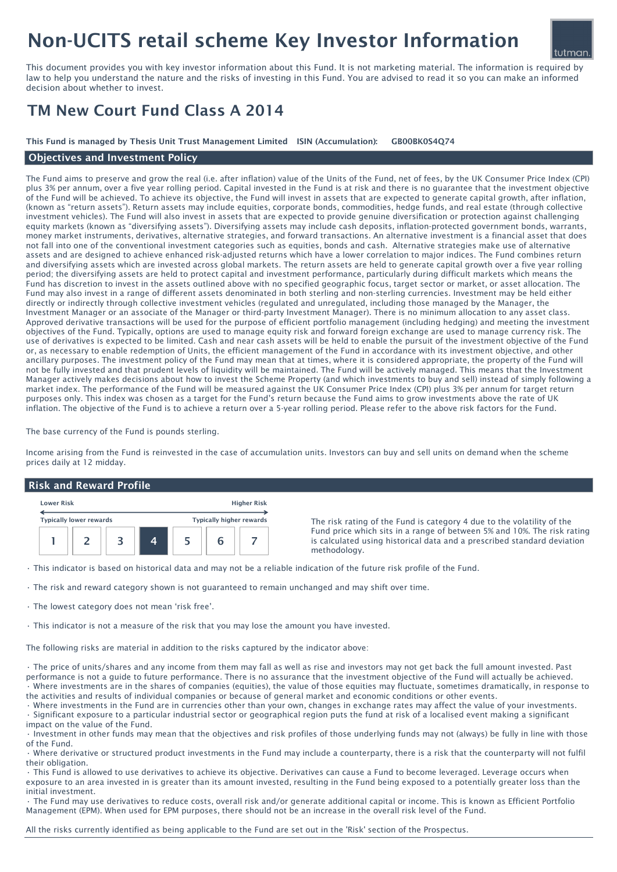# Non-UCITS retail scheme Key Investor Information

This document provides you with key investor information about this Fund. It is not marketing material. The information is required by law to help you understand the nature and the risks of investing in this Fund. You are advised to read it so you can make an informed decision about whether to invest.

## TM New Court Fund Class A 2014

This Fund is managed by Thesis Unit Trust Management Limited ISIN (Accumulation): GB00BK0S4Q74

### Objectives and Investment Policy

The Fund aims to preserve and grow the real (i.e. after inflation) value of the Units of the Fund, net of fees, by the UK Consumer Price Index (CPI) plus 3% per annum, over a five year rolling period. Capital invested in the Fund is at risk and there is no guarantee that the investment objective of the Fund will be achieved. To achieve its objective, the Fund will invest in assets that are expected to generate capital growth, after inflation, (known as "return assets"). Return assets may include equities, corporate bonds, commodities, hedge funds, and real estate (through collective investment vehicles). The Fund will also invest in assets that are expected to provide genuine diversification or protection against challenging equity markets (known as "diversifying assets"). Diversifying assets may include cash deposits, inflation-protected government bonds, warrants, money market instruments, derivatives, alternative strategies, and forward transactions. An alternative investment is a financial asset that does not fall into one of the conventional investment categories such as equities, bonds and cash. Alternative strategies make use of alternative assets and are designed to achieve enhanced risk-adjusted returns which have a lower correlation to major indices. The Fund combines return and diversifying assets which are invested across global markets. The return assets are held to generate capital growth over a five year rolling period; the diversifying assets are held to protect capital and investment performance, particularly during difficult markets which means the Fund has discretion to invest in the assets outlined above with no specified geographic focus, target sector or market, or asset allocation. The Fund may also invest in a range of different assets denominated in both sterling and non-sterling currencies. Investment may be held either directly or indirectly through collective investment vehicles (regulated and unregulated, including those managed by the Manager, the Investment Manager or an associate of the Manager or third-party Investment Manager). There is no minimum allocation to any asset class. Approved derivative transactions will be used for the purpose of efficient portfolio management (including hedging) and meeting the investment objectives of the Fund. Typically, options are used to manage equity risk and forward foreign exchange are used to manage currency risk. The use of derivatives is expected to be limited. Cash and near cash assets will be held to enable the pursuit of the investment objective of the Fund or, as necessary to enable redemption of Units, the efficient management of the Fund in accordance with its investment objective, and other ancillary purposes. The investment policy of the Fund may mean that at times, where it is considered appropriate, the property of the Fund will not be fully invested and that prudent levels of liquidity will be maintained. The Fund will be actively managed. This means that the Investment Manager actively makes decisions about how to invest the Scheme Property (and which investments to buy and sell) instead of simply following a market index. The performance of the Fund will be measured against the UK Consumer Price Index (CPI) plus 3% per annum for target return purposes only. This index was chosen as a target for the Fund's return because the Fund aims to grow investments above the rate of UK inflation. The objective of the Fund is to achieve a return over a 5-year rolling period. Please refer to the above risk factors for the Fund.

The base currency of the Fund is pounds sterling.

Income arising from the Fund is reinvested in the case of accumulation units. Investors can buy and sell units on demand when the scheme prices daily at 12 midday.

#### Risk and Reward Profile

| <b>Lower Risk</b> |                                |  |  | <b>Higher Risk</b> |                                 |  |
|-------------------|--------------------------------|--|--|--------------------|---------------------------------|--|
|                   | <b>Typically lower rewards</b> |  |  |                    | <b>Typically higher rewards</b> |  |
|                   |                                |  |  |                    |                                 |  |

The risk rating of the Fund is category 4 due to the volatility of the Fund price which sits in a range of between 5% and 10%. The risk rating is calculated using historical data and a prescribed standard deviation methodology.

• This indicator is based on historical data and may not be a reliable indication of the future risk profile of the Fund.

• The risk and reward category shown is not guaranteed to remain unchanged and may shift over time.

• The lowest category does not mean 'risk free'.

• This indicator is not a measure of the risk that you may lose the amount you have invested.

The following risks are material in addition to the risks captured by the indicator above:

• The price of units/shares and any income from them may fall as well as rise and investors may not get back the full amount invested. Past performance is not a guide to future performance. There is no assurance that the investment objective of the Fund will actually be achieved. • Where investments are in the shares of companies (equities), the value of those equities may fluctuate, sometimes dramatically, in response to the activities and results of individual companies or because of general market and economic conditions or other events.

• Where investments in the Fund are in currencies other than your own, changes in exchange rates may affect the value of your investments. • Significant exposure to a particular industrial sector or geographical region puts the fund at risk of a localised event making a significant impact on the value of the Fund.

• Investment in other funds may mean that the objectives and risk profiles of those underlying funds may not (always) be fully in line with those of the Fund.

• Where derivative or structured product investments in the Fund may include a counterparty, there is a risk that the counterparty will not fulfil their obligation.

• This Fund is allowed to use derivatives to achieve its objective. Derivatives can cause a Fund to become leveraged. Leverage occurs when exposure to an area invested in is greater than its amount invested, resulting in the Fund being exposed to a potentially greater loss than the initial investment.

• The Fund may use derivatives to reduce costs, overall risk and/or generate additional capital or income. This is known as Efficient Portfolio Management (EPM). When used for EPM purposes, there should not be an increase in the overall risk level of the Fund.

All the risks currently identified as being applicable to the Fund are set out in the 'Risk' section of the Prospectus.